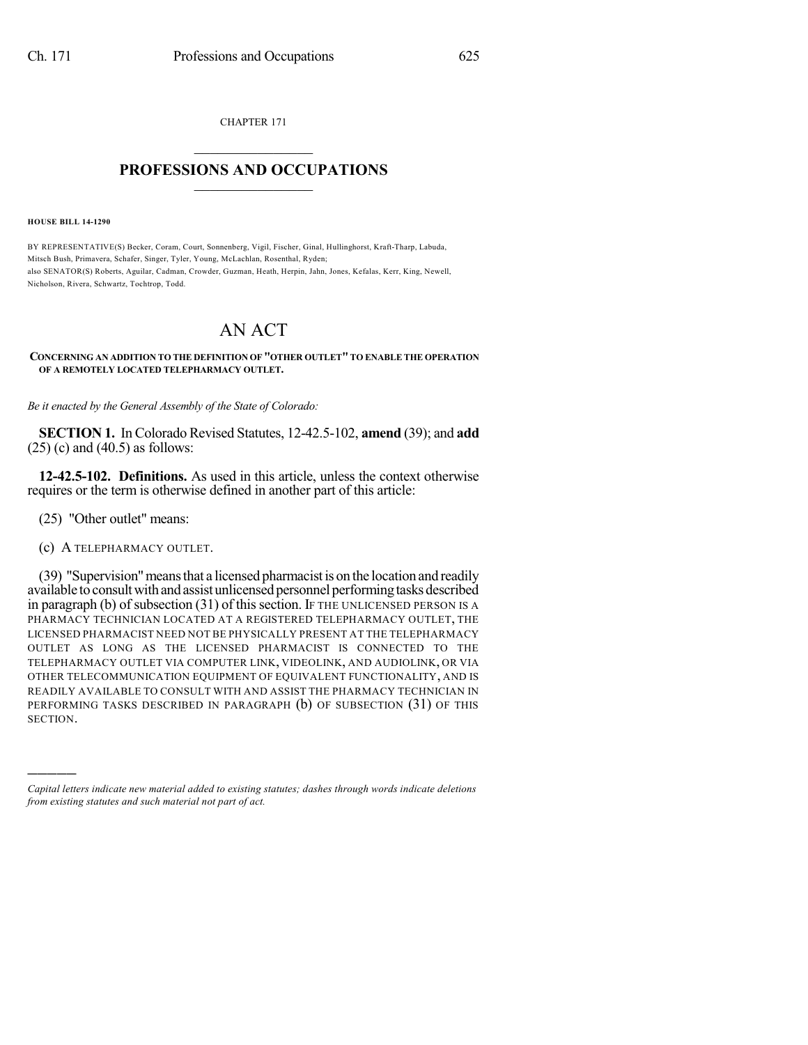CHAPTER 171  $\overline{\phantom{a}}$  . The set of the set of the set of the set of the set of the set of the set of the set of the set of the set of the set of the set of the set of the set of the set of the set of the set of the set of the set o

## **PROFESSIONS AND OCCUPATIONS**  $\frac{1}{2}$  ,  $\frac{1}{2}$  ,  $\frac{1}{2}$  ,  $\frac{1}{2}$  ,  $\frac{1}{2}$  ,  $\frac{1}{2}$  ,  $\frac{1}{2}$

**HOUSE BILL 14-1290**

BY REPRESENTATIVE(S) Becker, Coram, Court, Sonnenberg, Vigil, Fischer, Ginal, Hullinghorst, Kraft-Tharp, Labuda, Mitsch Bush, Primavera, Schafer, Singer, Tyler, Young, McLachlan, Rosenthal, Ryden; also SENATOR(S) Roberts, Aguilar, Cadman, Crowder, Guzman, Heath, Herpin, Jahn, Jones, Kefalas, Kerr, King, Newell, Nicholson, Rivera, Schwartz, Tochtrop, Todd.

## AN ACT

## **CONCERNING AN ADDITION TO THE DEFINITION OF "OTHER OUTLET"TO ENABLE THE OPERATION OF A REMOTELY LOCATED TELEPHARMACY OUTLET.**

*Be it enacted by the General Assembly of the State of Colorado:*

**SECTION 1.** In Colorado Revised Statutes, 12-42.5-102, **amend** (39); and **add**  $(25)$  (c) and  $(40.5)$  as follows:

**12-42.5-102. Definitions.** As used in this article, unless the context otherwise requires or the term is otherwise defined in another part of this article:

(25) "Other outlet" means:

)))))

(c) A TELEPHARMACY OUTLET.

(39) "Supervision"meansthat a licensed pharmacistis on the location and readily available to consult with and assist unlicensed personnel performing tasks described in paragraph (b) of subsection  $(31)$  of this section. If THE UNLICENSED PERSON IS A PHARMACY TECHNICIAN LOCATED AT A REGISTERED TELEPHARMACY OUTLET, THE LICENSED PHARMACIST NEED NOT BE PHYSICALLY PRESENT AT THE TELEPHARMACY OUTLET AS LONG AS THE LICENSED PHARMACIST IS CONNECTED TO THE TELEPHARMACY OUTLET VIA COMPUTER LINK, VIDEOLINK, AND AUDIOLINK, OR VIA OTHER TELECOMMUNICATION EQUIPMENT OF EQUIVALENT FUNCTIONALITY, AND IS READILY AVAILABLE TO CONSULT WITH AND ASSIST THE PHARMACY TECHNICIAN IN PERFORMING TASKS DESCRIBED IN PARAGRAPH (b) OF SUBSECTION (31) OF THIS SECTION.

*Capital letters indicate new material added to existing statutes; dashes through words indicate deletions from existing statutes and such material not part of act.*